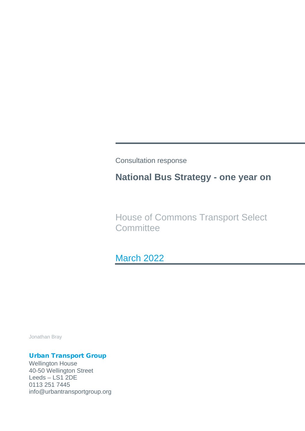Consultation response

# **National Bus Strategy - one year on**

House of Commons Transport Select **Committee** 

March 2022

Jonathan Bray

# Urban Transport Group

Wellington House 40-50 Wellington Street Leeds – LS1 2DE 0113 251 7445 info@urbantransportgroup.org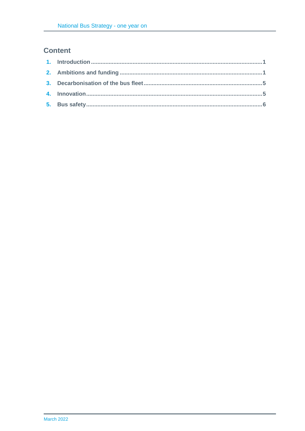# **Content**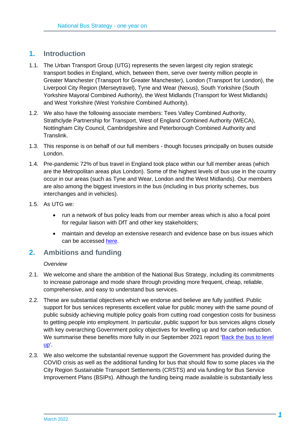# **1. Introduction**

- 1.1. The Urban Transport Group (UTG) represents the seven largest city region strategic transport bodies in England, which, between them, serve over twenty million people in Greater Manchester (Transport for Greater Manchester), London (Transport for London), the Liverpool City Region (Merseytravel), Tyne and Wear (Nexus), South Yorkshire (South Yorkshire Mayoral Combined Authority), the West Midlands (Transport for West Midlands) and West Yorkshire (West Yorkshire Combined Authority).
- 1.2. We also have the following associate members: Tees Valley Combined Authority, Strathclyde Partnership for Transport, West of England Combined Authority (WECA), Nottingham City Council, Cambridgeshire and Peterborough Combined Authority and Translink.
- 1.3. This response is on behalf of our full members though focuses principally on buses outside London.
- 1.4. Pre-pandemic 72% of bus travel in England took place within our full member areas (which are the Metropolitan areas plus London). Some of the highest levels of bus use in the country occur in our areas (such as Tyne and Wear, London and the West Midlands). Our members are also among the biggest investors in the bus (including in bus priority schemes, bus interchanges and in vehicles).
- 1.5. As UTG we:
	- run a network of bus policy leads from our member areas which is also a focal point for regular liaison with DfT and other key stakeholders;
	- maintain and develop an extensive research and evidence base on bus issues which can be accessed [here.](https://www.urbantransportgroup.org/resources/bus)

# **2. Ambitions and funding**

#### *Overview*

- 2.1. We welcome and share the ambition of the National Bus Strategy, including its commitments to increase patronage and mode share through providing more frequent, cheap, reliable, comprehensive, and easy to understand bus services.
- 2.2. These are substantial objectives which we endorse and believe are fully justified. Public support for bus services represents excellent value for public money with the same pound of public subsidy achieving multiple policy goals from cutting road congestion costs for business to getting people into employment. In particular, public support for bus services aligns closely with key overarching Government policy objectives for levelling up and for carbon reduction. We summarise these benefits more fully in our September 2021 report 'Back the bus to level [up'.](https://www.urbantransportgroup.org/system/files/general-docs/Bus%20revenue%20funding%20case%202021%20FINAL.pdf)
- 2.3. We also welcome the substantial revenue support the Government has provided during the COVID crisis as well as the additional funding for bus that should flow to some places via the City Region Sustainable Transport Settlements (CRSTS) and via funding for Bus Service Improvement Plans (BSIPs). Although the funding being made available is substantially less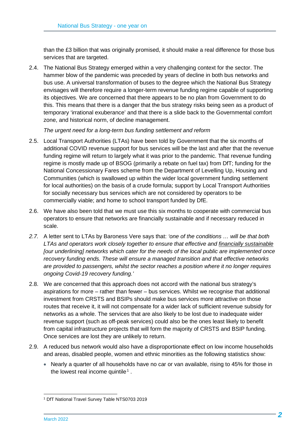than the £3 billion that was originally promised, it should make a real difference for those bus services that are targeted.

2.4. The National Bus Strategy emerged within a very challenging context for the sector. The hammer blow of the pandemic was preceded by years of decline in both bus networks and bus use. A universal transformation of buses to the degree which the National Bus Strategy envisages will therefore require a longer-term revenue funding regime capable of supporting its objectives. We are concerned that there appears to be no plan from Government to do this. This means that there is a danger that the bus strategy risks being seen as a product of temporary 'irrational exuberance' and that there is a slide back to the Governmental comfort zone, and historical norm, of decline management.

*The urgent need for a long-term bus funding settlement and reform*

- 2.5. Local Transport Authorities (LTAs) have been told by Government that the six months of additional COVID revenue support for bus services will be the last and after that the revenue funding regime will return to largely what it was prior to the pandemic. That revenue funding regime is mostly made up of BSOG (primarily a rebate on fuel tax) from DfT; funding for the National Concessionary Fares scheme from the Department of Levelling Up, Housing and Communities (which is swallowed up within the wider local government funding settlement for local authorities) on the basis of a crude formula; support by Local Transport Authorities for socially necessary bus services which are not considered by operators to be commercially viable; and home to school transport funded by DfE.
- 2.6. We have also been told that we must use this six months to cooperate with commercial bus operators to ensure that networks are financially sustainable and if necessary reduced in scale.
- *2.7.* A letter sent to LTAs by Baroness Vere says that: *'one of the conditions … will be that both LTAs and operators work closely together to ensure that effective and financially sustainable [our underlining] networks which cater for the needs of the local public are implemented once recovery funding ends. These will ensure a managed transition and that effective networks are provided to passengers, whilst the sector reaches a position where it no longer requires ongoing Covid-19 recovery funding.'*
- 2.8. We are concerned that this approach does not accord with the national bus strategy's aspirations for more – rather than fewer – bus services. Whilst we recognise that additional investment from CRSTS and BSIPs should make bus services more attractive on those routes that receive it, it will not compensate for a wider lack of sufficient revenue subsidy for networks as a whole. The services that are also likely to be lost due to inadequate wider revenue support (such as off-peak services) could also be the ones least likely to benefit from capital infrastructure projects that will form the majority of CRSTS and BSIP funding. Once services are lost they are unlikely to return.
- 2.9. A reduced bus network would also have a disproportionate effect on low income households and areas, disabled people, women and ethnic minorities as the following statistics show:
	- Nearly a quarter of all households have no car or van available, rising to 45% for those in the lowest real income quintile<sup>[1](#page-3-0)</sup>.

<span id="page-3-0"></span><sup>1</sup> DfT National Travel Survey Table NTS0703 2019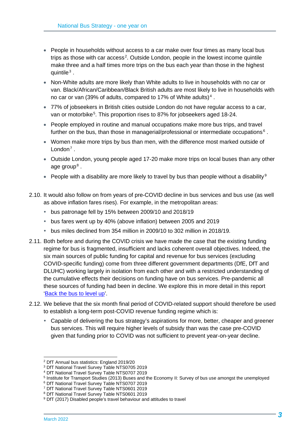- People in households without access to a car make over four times as many local bus trips as those with car access<sup>[2](#page-4-0)</sup>. Outside London, people in the lowest income quintile make three and a half times more trips on the bus each year than those in the highest quintile $3$ .
- Non-White adults are more likely than White adults to live in households with no car or van. Black/African/Caribbean/Black British adults are most likely to live in households with no car or van (39% of adults, compared to 17% of White adults) [4](#page-4-2) .
- 77% of jobseekers in British cities outside London do not have regular access to a car, van or motorbike<sup>[5](#page-4-3)</sup>. This proportion rises to 87% for jobseekers aged 18-24.
- People employed in routine and manual occupations make more bus trips, and travel further on the bus, than those in managerial/professional or intermediate occupations<sup>[6](#page-4-4)</sup>.
- Women make more trips by bus than men, with the difference most marked outside of  $L$ ondon<sup>[7](#page-4-5)</sup>
- Outside London, young people aged 17-20 make more trips on local buses than any other age group<sup>[8](#page-4-6)</sup>.
- People with a disability are more likely to travel by bus than people without a disability  $9$
- 2.10. It would also follow on from years of pre-COVID decline in bus services and bus use (as well as above inflation fares rises). For example, in the metropolitan areas:
	- bus patronage fell by 15% between 2009/10 and 2018/19
	- bus fares went up by 40% (above inflation) between 2005 and 2019
	- bus miles declined from 354 million in 2009/10 to 302 million in 2018/19.
- 2.11. Both before and during the COVID crisis we have made the case that the existing funding regime for bus is fragmented, insufficient and lacks coherent overall objectives. Indeed, the six main sources of public funding for capital and revenue for bus services (excluding COVID-specific funding) come from three different government departments (DfE, DfT and DLUHC) working largely in isolation from each other and with a restricted understanding of the cumulative effects their decisions on funding have on bus services. Pre-pandemic all these sources of funding had been in decline. We explore this in more detail in this report ['Back the bus to level up'.](https://www.urbantransportgroup.org/system/files/general-docs/Bus%20revenue%20funding%20case%202021%20FINAL.pdf)
- 2.12. We believe that the six month final period of COVID-related support should therefore be used to establish a long-term post-COVID revenue funding regime which is:
	- Capable of delivering the bus strategy's aspirations for more, better, cheaper and greener bus services. This will require higher levels of subsidy than was the case pre-COVID given that funding prior to COVID was not sufficient to prevent year-on-year decline.

<span id="page-4-0"></span><sup>2</sup> DfT Annual bus statistics: England 2019/20

<span id="page-4-1"></span><sup>3</sup> DfT National Travel Survey Table NTS0705 2019

<span id="page-4-2"></span><sup>4</sup> DfT National Travel Survey Table NTS0707 2019

<span id="page-4-3"></span><sup>5</sup> Institute for Transport Studies (2013) Buses and the Economy II: Survey of bus use amongst the unemployed

<span id="page-4-4"></span><sup>6</sup> DfT National Travel Survey Table NTS0707 2019

<span id="page-4-5"></span><sup>7</sup> DfT National Travel Survey Table NTS0601 2019

<sup>8</sup> DfT National Travel Survey Table NTS0601 2019

<span id="page-4-7"></span><span id="page-4-6"></span><sup>&</sup>lt;sup>9</sup> DfT (2017) Disabled people's travel behaviour and attitudes to travel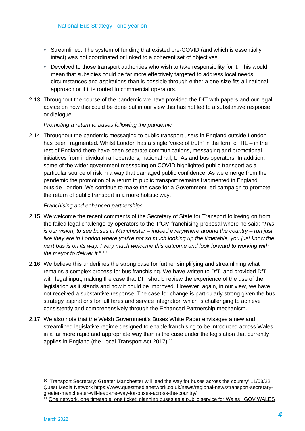- Streamlined. The system of funding that existed pre-COVID (and which is essentially intact) was not coordinated or linked to a coherent set of objectives.
- Devolved to those transport authorities who wish to take responsibility for it. This would mean that subsidies could be far more effectively targeted to address local needs, circumstances and aspirations than is possible through either a one-size fits all national approach or if it is routed to commercial operators.
- 2.13. Throughout the course of the pandemic we have provided the DfT with papers and our legal advice on how this could be done but in our view this has not led to a substantive response or dialogue.

#### *Promoting a return to buses following the pandemic*

2.14. Throughout the pandemic messaging to public transport users in England outside London has been fragmented. Whilst London has a single 'voice of truth' in the form of TfL – in the rest of England there have been separate communications, messaging and promotional initiatives from individual rail operators, national rail, LTAs and bus operators. In addition, some of the wider government messaging on COVID highlighted public transport as a particular source of risk in a way that damaged public confidence. As we emerge from the pandemic the promotion of a return to public transport remains fragmented in England outside London. We continue to make the case for a Government-led campaign to promote the return of public transport in a more holistic way.

#### *Franchising and enhanced partnerships*

- 2.15. We welcome the recent comments of the Secretary of State for Transport following on from the failed legal challenge by operators to the TfGM franchising proposal where he said: *"This is our vision, to see buses in Manchester – indeed everywhere around the country – run just*  like they are in London where you're not so much looking up the timetable, you just know the *next bus is on its way. I very much welcome this outcome and look forward to working with the mayor to deliver it."* [10](#page-5-0)
- 2.16. We believe this underlines the strong case for further simplifying and streamlining what remains a complex process for bus franchising. We have written to DfT, and provided DfT with legal input, making the case that DfT should review the experience of the use of the legislation as it stands and how it could be improved. However, again, in our view, we have not received a substantive response. The case for change is particularly strong given the bus strategy aspirations for full fares and service integration which is challenging to achieve consistently and comprehensively through the Enhanced Partnership mechanism.
- 2.17. We also note that the Welsh Government's Buses White Paper envisages a new and streamlined legislative regime designed to enable franchising to be introduced across Wales in a far more rapid and appropriate way than is the case under the legislation that currently applies in England (the Local Transport Act 2017).<sup>[11](#page-5-1)</sup>

<span id="page-5-0"></span><sup>10</sup> 'Transport Secretary: Greater Manchester will lead the way for buses across the country' 11/03/22 Quest Media Network https://www.questmedianetwork.co.uk/news/regional-news/transport-secretarygreater-manchester-will-lead-the-way-for-buses-across-the-country/

<span id="page-5-1"></span><sup>&</sup>lt;sup>11</sup> [One network, one timetable, one ticket: planning buses as a public service for Wales | GOV.WALES](https://gov.wales/one-network-one-timetable-one-ticket-planning-buses-public-service-wales)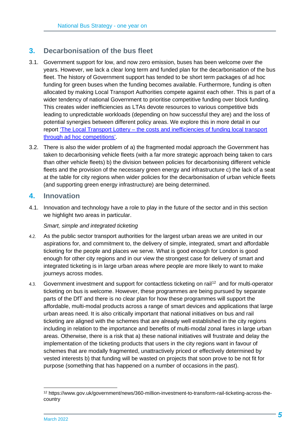# **3. Decarbonisation of the bus fleet**

- 3.1. Government support for low, and now zero emission, buses has been welcome over the years. However, we lack a clear long term and funded plan for the decarbonisation of the bus fleet. The history of Government support has tended to be short term packages of ad hoc funding for green buses when the funding becomes available. Furthermore, funding is often allocated by making Local Transport Authorities compete against each other. This is part of a wider tendency of national Government to prioritise competitive funding over block funding. This creates wider inefficiencies as LTAs devote resources to various competitive bids leading to unpredictable workloads (depending on how successful they are) and the loss of potential synergies between different policy areas. We explore this in more detail in our report 'The Local Transport Lottery – [the costs and inefficiencies of funding local transport](https://www.urbantransportgroup.org/resources/types/reports/local-transport-lottery-costs-and-inefficiencies-funding-local-transport)  [through ad hoc competitions'.](https://www.urbantransportgroup.org/resources/types/reports/local-transport-lottery-costs-and-inefficiencies-funding-local-transport)
- 3.2. There is also the wider problem of a) the fragmented modal approach the Government has taken to decarbonising vehicle fleets (with a far more strategic approach being taken to cars than other vehicle fleets) b) the division between policies for decarbonising different vehicle fleets and the provision of the necessary green energy and infrastructure c) the lack of a seat at the table for city regions when wider policies for the decarbonisation of urban vehicle fleets (and supporting green energy infrastructure) are being determined.

### **4. Innovation**

4.1. Innovation and technology have a role to play in the future of the sector and in this section we highlight two areas in particular.

#### *Smart, simple and integrated ticketing*

- 4.2. As the public sector transport authorities for the largest urban areas we are united in our aspirations for, and commitment to, the delivery of simple, integrated, smart and affordable ticketing for the people and places we serve. What is good enough for London is good enough for other city regions and in our view the strongest case for delivery of smart and integrated ticketing is in large urban areas where people are more likely to want to make journeys across modes.
- 4.3. Government investment and support for contactless ticketing on rail<sup>[12](#page-6-0)</sup> and for multi-operator ticketing on bus is welcome. However, these programmes are being pursued by separate parts of the DfT and there is no clear plan for how these programmes will support the affordable, multi-modal products across a range of smart devices and applications that large urban areas need. It is also critically important that national initiatives on bus and rail ticketing are aligned with the schemes that are already well established in the city regions including in relation to the importance and benefits of multi-modal zonal fares in large urban areas. Otherwise, there is a risk that a) these national initiatives will frustrate and delay the implementation of the ticketing products that users in the city regions want in favour of schemes that are modally fragmented, unattractively priced or effectively determined by vested interests b) that funding will be wasted on projects that soon prove to be not fit for purpose (something that has happened on a number of occasions in the past).

<span id="page-6-0"></span><sup>12</sup> https://www.gov.uk/government/news/360-million-investment-to-transform-rail-ticketing-across-thecountry